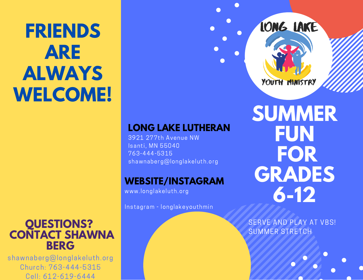# **FRIENDS ARE ALWAYS WELCOME!**

### **QUESTIONS? CONTACT SHAWNA BERG**

shawnaberg@longlakeluth.org Church: 763-444-5315 Cell: 612-619-6444

## **LONG LAKE LUTHERAN**

3921 277th Avenue NW Isanti, MN 55040 763-444-5315 shawnaberg@longlakeluth.org

#### **WEBSITE/INSTAGRAM**

www.longlakeluth.org

Instagram - longlakeyouthmin

**SUMMER FUN FOR GRADES 6-12**

LONG LAKE

YOUTH MINISTRY

SERVE AND PLAY AT VBS! SUMMER STRETCH